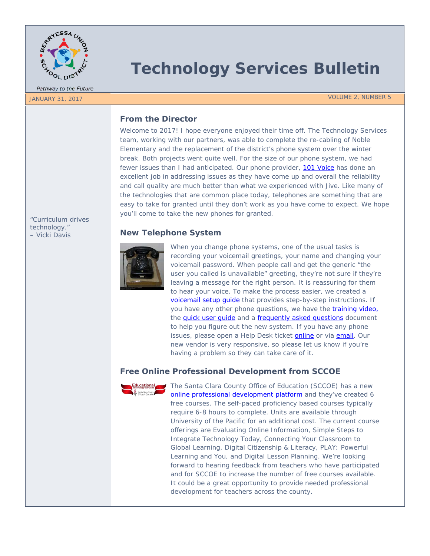

Pathway to the Future

*"Curriculum drives technology." – Vicki Davis*

# **Technology Services Bulletin**

JANUARY 31, 2017 VOLUME 2, NUMBER 5

### **From the Director**

Welcome to 2017! I hope everyone enjoyed their time off. The Technology Services team, working with our partners, was able to complete the re-cabling of Noble Elementary and the replacement of the district's phone system over the winter break. Both projects went quite well. For the size of our phone system, we had fewer issues than I had anticipated. Our phone provider, [101 Voice](http://www.101voice.com/) has done an excellent job in addressing issues as they have come up and overall the reliability and call quality are much better than what we experienced with Jive. Like many of the technologies that are common place today, telephones are something that are easy to take for granted until they don't work as you have come to expect. We hope you'll come to take the new phones for granted.

#### **New Telephone System**



When you change phone systems, one of the usual tasks is recording your voicemail greetings, your name and changing your voicemail password. When people call and get the generic "the user you called is unavailable" greeting, they're not sure if they're leaving a message for the right person. It is reassuring for them to hear your voice. To make the process easier, we created a voicemail setup quide that provides step-by-step instructions. If you have any other phone questions, we have the [training video,](https://www.youtube.com/watch?v=AwkNKZrD38M) the quick user quide and a [frequently asked questions](https://docs.google.com/a/busd.net/document/d/1XRfyeMhyfjjiNJSm2ESOBPXf1BzgYbitj6VZmk0CChk/edit?usp=drive_web) document to help you figure out the new system. If you have any phone issues, please open a Help Desk ticket **online** or via [email.](mailto:support@busd.net) Our new vendor is very responsive, so please let us know if you're having a problem so they can take care of it.

## **Free Online Professional Development from SCCOE**



The Santa Clara County Office of Education (SCCOE) has a new [online professional development platform](https://sccoe.catalog.instructure.com/) and they've created 6 free courses. The self-paced proficiency based courses typically require 6-8 hours to complete. Units are available through University of the Pacific for an additional cost. The current course offerings are Evaluating Online Information, Simple Steps to Integrate Technology Today, Connecting Your Classroom to Global Learning, Digital Citizenship & Literacy, PLAY: Powerful Learning and You, and Digital Lesson Planning. We're looking forward to hearing feedback from teachers who have participated and for SCCOE to increase the number of free courses available. It could be a great opportunity to provide needed professional development for teachers across the county.